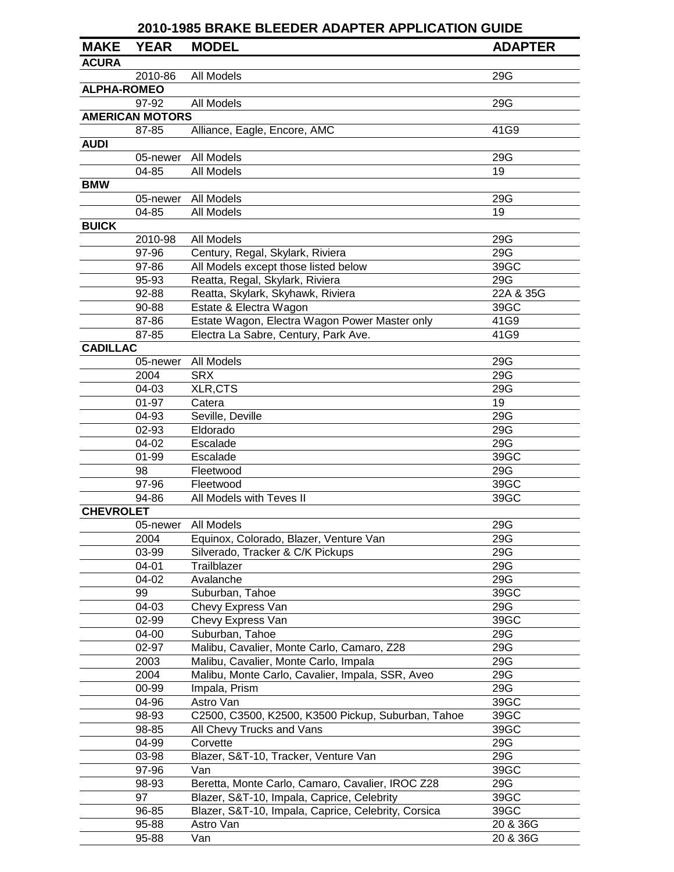|                    | <b>2010-1985 BRAKE BLEEDER ADAPTER APPLICATION GUIDE</b> |                                                     |                |  |
|--------------------|----------------------------------------------------------|-----------------------------------------------------|----------------|--|
| <b>MAKE</b>        | <b>YEAR</b>                                              | <b>MODEL</b>                                        | <b>ADAPTER</b> |  |
| <b>ACURA</b>       |                                                          |                                                     |                |  |
|                    | 2010-86                                                  | All Models                                          | 29G            |  |
| <b>ALPHA-ROMEO</b> |                                                          |                                                     |                |  |
|                    | 97-92                                                    | All Models                                          | 29G            |  |
|                    | <b>AMERICAN MOTORS</b>                                   |                                                     |                |  |
|                    | 87-85                                                    | Alliance, Eagle, Encore, AMC                        | 41G9           |  |
| <b>AUDI</b>        |                                                          |                                                     |                |  |
|                    | 05-newer                                                 | All Models                                          | 29G            |  |
|                    | 04-85                                                    | All Models                                          | 19             |  |
| <b>BMW</b>         |                                                          |                                                     |                |  |
|                    | 05-newer                                                 | All Models                                          | 29G            |  |
|                    | 04-85                                                    | All Models                                          | 19             |  |
| <b>BUICK</b>       |                                                          |                                                     |                |  |
|                    | 2010-98                                                  | All Models                                          | 29G            |  |
|                    | 97-96                                                    | Century, Regal, Skylark, Riviera                    | 29G            |  |
|                    | 97-86                                                    | All Models except those listed below                | 39GC           |  |
|                    | 95-93                                                    | Reatta, Regal, Skylark, Riviera                     | 29G            |  |
|                    | 92-88                                                    | Reatta, Skylark, Skyhawk, Riviera                   | 22A & 35G      |  |
|                    | 90-88                                                    | Estate & Electra Wagon                              | 39GC           |  |
|                    | 87-86                                                    | Estate Wagon, Electra Wagon Power Master only       | 41G9           |  |
|                    | 87-85                                                    | Electra La Sabre, Century, Park Ave.                | 41G9           |  |
| <b>CADILLAC</b>    |                                                          |                                                     |                |  |
|                    | 05-newer                                                 | All Models                                          | 29G            |  |
|                    | 2004                                                     | <b>SRX</b>                                          | 29G            |  |
|                    | 04-03                                                    | XLR,CTS                                             | 29G            |  |
|                    | $01 - 97$                                                | Catera                                              | 19             |  |
|                    | 04-93                                                    | Seville, Deville                                    | 29G            |  |
|                    | 02-93                                                    | Eldorado                                            | 29G            |  |
|                    | 04-02                                                    | Escalade                                            | 29G            |  |
|                    | 01-99                                                    | Escalade                                            | 39GC           |  |
|                    | 98                                                       | Fleetwood                                           | 29G            |  |
|                    | 97-96                                                    | Fleetwood                                           | 39GC           |  |
|                    | 94-86                                                    | All Models with Teves II                            | 39GC           |  |
| <b>CHEVROLET</b>   |                                                          |                                                     |                |  |
|                    | 05-newer                                                 | All Models                                          | 29G            |  |
|                    | 2004                                                     | Equinox, Colorado, Blazer, Venture Van              | 29G            |  |
|                    | 03-99                                                    | Silverado, Tracker & C/K Pickups                    | 29G            |  |
|                    | $04 - 01$                                                |                                                     | 29G            |  |
|                    |                                                          | Trailblazer<br>Avalanche                            | 29G            |  |
|                    | 04-02<br>99                                              | Suburban, Tahoe                                     | 39GC           |  |
|                    | 04-03                                                    |                                                     | 29G            |  |
|                    | 02-99                                                    | Chevy Express Van                                   | 39GC           |  |
|                    |                                                          | Chevy Express Van                                   |                |  |
|                    | 04-00<br>02-97                                           | Suburban, Tahoe                                     | 29G            |  |
|                    |                                                          | Malibu, Cavalier, Monte Carlo, Camaro, Z28          | 29G            |  |
|                    | 2003                                                     | Malibu, Cavalier, Monte Carlo, Impala               | 29G            |  |
|                    | 2004                                                     | Malibu, Monte Carlo, Cavalier, Impala, SSR, Aveo    | 29G            |  |
|                    | 00-99                                                    | Impala, Prism                                       | 29G            |  |
|                    | 04-96                                                    | Astro Van                                           | 39GC           |  |
|                    | 98-93                                                    | C2500, C3500, K2500, K3500 Pickup, Suburban, Tahoe  | 39GC           |  |
|                    | 98-85                                                    | All Chevy Trucks and Vans                           | 39GC           |  |
|                    | 04-99                                                    | Corvette                                            | 29G            |  |
|                    | 03-98                                                    | Blazer, S&T-10, Tracker, Venture Van                | 29G            |  |
|                    | 97-96                                                    | Van                                                 | 39GC           |  |
|                    | 98-93                                                    | Beretta, Monte Carlo, Camaro, Cavalier, IROC Z28    | 29G            |  |
|                    | 97                                                       | Blazer, S&T-10, Impala, Caprice, Celebrity          | 39GC           |  |
|                    | 96-85                                                    | Blazer, S&T-10, Impala, Caprice, Celebrity, Corsica | 39GC           |  |
|                    | 95-88                                                    | Astro Van                                           | 20 & 36G       |  |
|                    | 95-88                                                    | Van                                                 | 20 & 36G       |  |

 $\overline{\phantom{a}}$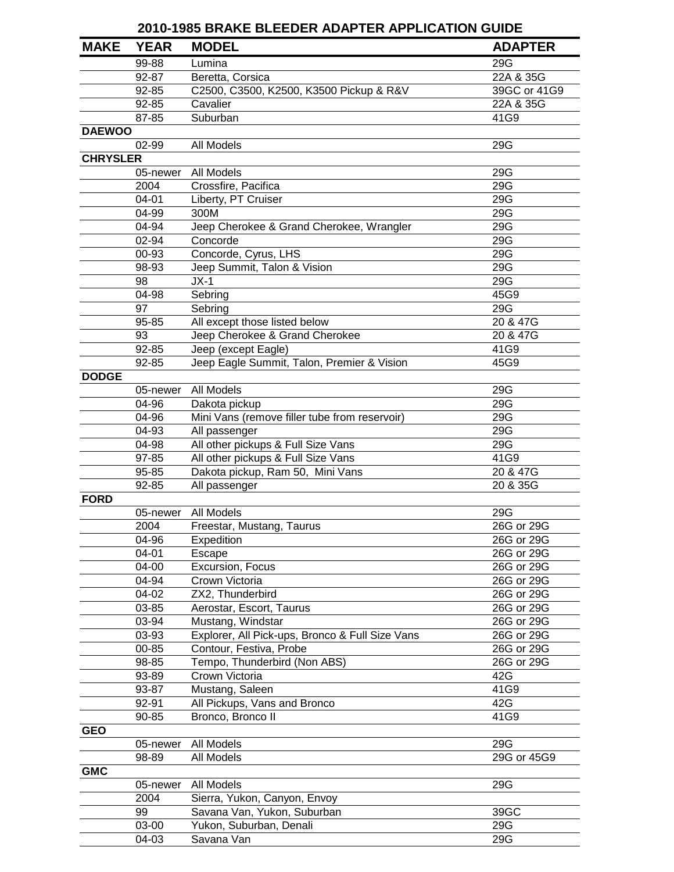|                 | <b>2010-1985 BRAKE BLEEDER ADAPTER APPLICATION GUIDE</b> |                                                 |                |  |
|-----------------|----------------------------------------------------------|-------------------------------------------------|----------------|--|
| <b>MAKE</b>     | <b>YEAR</b>                                              | <b>MODEL</b>                                    | <b>ADAPTER</b> |  |
|                 | 99-88                                                    | Lumina                                          | 29G            |  |
|                 | 92-87                                                    | Beretta, Corsica                                | 22A & 35G      |  |
|                 | 92-85                                                    | C2500, C3500, K2500, K3500 Pickup & R&V         | 39GC or 41G9   |  |
|                 | 92-85                                                    | Cavalier                                        | 22A & 35G      |  |
|                 | 87-85                                                    | Suburban                                        | 41G9           |  |
| <b>DAEWOO</b>   |                                                          |                                                 |                |  |
|                 | 02-99                                                    | All Models                                      | 29G            |  |
| <b>CHRYSLER</b> |                                                          |                                                 |                |  |
|                 | 05-newer                                                 | All Models                                      | 29G            |  |
|                 | 2004                                                     | Crossfire, Pacifica                             | 29G            |  |
|                 | 04-01                                                    | Liberty, PT Cruiser                             | 29G            |  |
|                 | 04-99                                                    | 300M                                            | 29G            |  |
|                 | 04-94                                                    | Jeep Cherokee & Grand Cherokee, Wrangler        | 29G            |  |
|                 | 02-94                                                    | Concorde                                        | 29G            |  |
|                 | 00-93                                                    | Concorde, Cyrus, LHS                            | 29G            |  |
|                 | 98-93                                                    | Jeep Summit, Talon & Vision                     | 29G            |  |
|                 | 98                                                       | $JX-1$                                          | 29G            |  |
|                 | 04-98                                                    | Sebring                                         | 45G9           |  |
|                 | 97                                                       | Sebring                                         | 29G            |  |
|                 | 95-85                                                    | All except those listed below                   | 20 & 47G       |  |
|                 | 93                                                       | Jeep Cherokee & Grand Cherokee                  | 20 & 47G       |  |
|                 | 92-85                                                    | Jeep (except Eagle)                             | 41G9           |  |
|                 | 92-85                                                    | Jeep Eagle Summit, Talon, Premier & Vision      | 45G9           |  |
| <b>DODGE</b>    |                                                          |                                                 |                |  |
|                 | 05-newer                                                 | All Models                                      | 29G            |  |
|                 | 04-96                                                    | Dakota pickup                                   | 29G            |  |
|                 | 04-96                                                    | Mini Vans (remove filler tube from reservoir)   | 29G            |  |
|                 | 04-93                                                    | All passenger                                   | 29G            |  |
|                 | 04-98                                                    | All other pickups & Full Size Vans              | 29G            |  |
|                 | 97-85                                                    | All other pickups & Full Size Vans              | 41G9           |  |
|                 | 95-85                                                    | Dakota pickup, Ram 50, Mini Vans                | 20 & 47G       |  |
|                 | 92-85                                                    | All passenger                                   | 20 & 35G       |  |
| <b>FORD</b>     |                                                          |                                                 |                |  |
|                 |                                                          | 05-newer All Models                             | 29G            |  |
|                 | 2004                                                     | Freestar, Mustang, Taurus                       | 26G or 29G     |  |
|                 | 04-96                                                    | Expedition                                      | 26G or 29G     |  |
|                 | 04-01                                                    | Escape                                          | 26G or 29G     |  |
|                 | 04-00                                                    | Excursion, Focus                                | 26G or 29G     |  |
|                 | 04-94                                                    | Crown Victoria                                  | 26G or 29G     |  |
|                 | 04-02                                                    | ZX2, Thunderbird                                | 26G or 29G     |  |
|                 | 03-85                                                    | Aerostar, Escort, Taurus                        | 26G or 29G     |  |
|                 | 03-94                                                    | Mustang, Windstar                               | 26G or 29G     |  |
|                 | 03-93                                                    | Explorer, All Pick-ups, Bronco & Full Size Vans | 26G or 29G     |  |
|                 | 00-85                                                    | Contour, Festiva, Probe                         | 26G or 29G     |  |
|                 | 98-85                                                    | Tempo, Thunderbird (Non ABS)                    | 26G or 29G     |  |
|                 | 93-89                                                    | Crown Victoria                                  | 42G            |  |
|                 | 93-87                                                    | Mustang, Saleen                                 | 41G9           |  |
|                 | 92-91                                                    | All Pickups, Vans and Bronco                    | 42G            |  |
|                 | 90-85                                                    | Bronco, Bronco II                               | 41G9           |  |
| <b>GEO</b>      | 05-newer                                                 | All Models                                      | 29G            |  |
|                 | 98-89                                                    | All Models                                      | 29G or 45G9    |  |
| <b>GMC</b>      |                                                          |                                                 |                |  |
|                 | 05-newer                                                 | All Models                                      | 29G            |  |
|                 | 2004                                                     | Sierra, Yukon, Canyon, Envoy                    |                |  |
|                 | 99                                                       | Savana Van, Yukon, Suburban                     | 39GC           |  |
|                 | 03-00                                                    | Yukon, Suburban, Denali                         | 29G            |  |
|                 | 04-03                                                    | Savana Van                                      | 29G            |  |
|                 |                                                          |                                                 |                |  |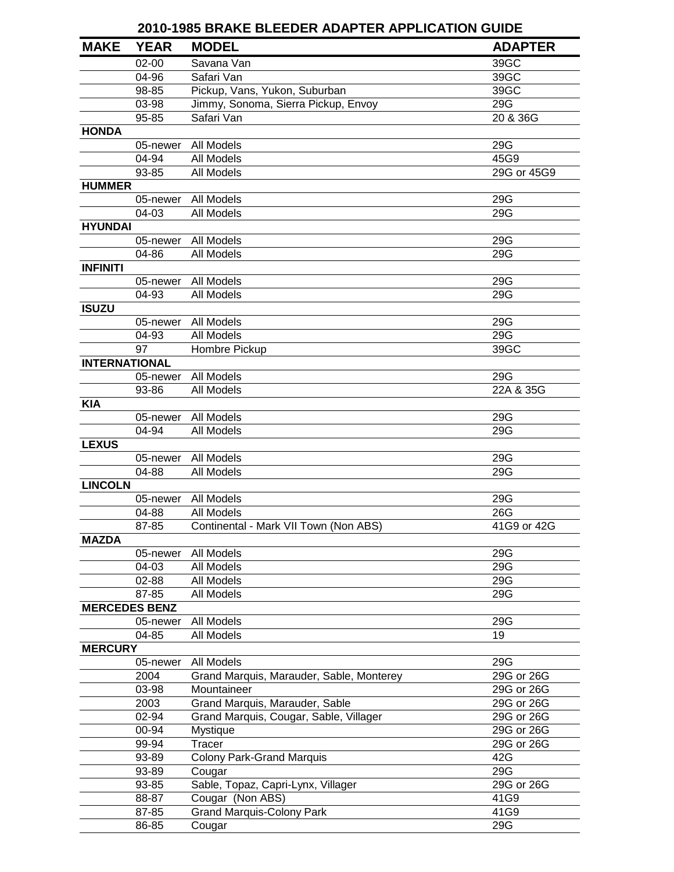|                      |             | <b>2010-1985 BRAKE BLEEDER ADAPTER APPLICATION GUIDE</b> |                |
|----------------------|-------------|----------------------------------------------------------|----------------|
| <b>MAKE</b>          | <b>YEAR</b> | <b>MODEL</b>                                             | <b>ADAPTER</b> |
|                      | $02 - 00$   | Savana Van                                               | 39GC           |
|                      | 04-96       | Safari Van                                               | 39GC           |
|                      | 98-85       | Pickup, Vans, Yukon, Suburban                            | 39GC           |
|                      | 03-98       | Jimmy, Sonoma, Sierra Pickup, Envoy                      | 29G            |
|                      | 95-85       | Safari Van                                               | 20 & 36G       |
| <b>HONDA</b>         |             |                                                          |                |
|                      |             | 05-newer All Models                                      | 29G            |
|                      | 04-94       | All Models                                               | 45G9           |
|                      | 93-85       | All Models                                               | 29G or 45G9    |
| <b>HUMMER</b>        |             |                                                          |                |
|                      |             | 05-newer All Models                                      | 29G            |
|                      | 04-03       | All Models                                               | 29G            |
| <b>HYUNDAI</b>       |             |                                                          |                |
|                      | 05-newer    | All Models                                               | 29G            |
|                      | 04-86       | All Models                                               | 29G            |
| <b>INFINITI</b>      |             |                                                          |                |
|                      | 05-newer    | All Models                                               | 29G            |
|                      | 04-93       | All Models                                               | 29G            |
| <b>ISUZU</b>         |             |                                                          |                |
|                      | 05-newer    | All Models                                               | 29G            |
|                      | 04-93       | All Models                                               | 29G            |
|                      | 97          | Hombre Pickup                                            | 39GC           |
| <b>INTERNATIONAL</b> |             |                                                          |                |
|                      | 05-newer    | All Models                                               | 29G            |
|                      | 93-86       | All Models                                               | 22A & 35G      |
| <b>KIA</b>           |             |                                                          |                |
|                      | 05-newer    | All Models                                               | 29G            |
|                      | 04-94       | All Models                                               | 29G            |
| <b>LEXUS</b>         |             |                                                          |                |
|                      | 05-newer    | All Models                                               | 29G            |
|                      | 04-88       | All Models                                               | 29G            |
| <b>LINCOLN</b>       |             |                                                          |                |
|                      | 05-newer    | All Models                                               | 29G            |
|                      | 04-88       | All Models                                               | 26G            |
|                      | 87-85       | Continental - Mark VII Town (Non ABS)                    | 41G9 or 42G    |
| <b>MAZDA</b>         |             |                                                          |                |
|                      | 05-newer    | All Models                                               | 29G            |
|                      | 04-03       | All Models                                               | 29G            |
|                      | 02-88       | All Models                                               | 29G            |
|                      | 87-85       | All Models                                               | 29G            |
| <b>MERCEDES BENZ</b> |             |                                                          |                |
|                      | 05-newer    | All Models                                               | 29G            |
|                      | 04-85       | All Models                                               | 19             |
| <b>MERCURY</b>       |             |                                                          |                |
|                      | 05-newer    | All Models                                               | 29G            |
|                      | 2004        | Grand Marquis, Marauder, Sable, Monterey                 | 29G or 26G     |
|                      | 03-98       | Mountaineer                                              | 29G or 26G     |
|                      | 2003        | Grand Marquis, Marauder, Sable                           | 29G or 26G     |
|                      | 02-94       | Grand Marquis, Cougar, Sable, Villager                   | 29G or 26G     |
|                      | 00-94       | Mystique                                                 | 29G or 26G     |
|                      | 99-94       | Tracer                                                   | 29G or 26G     |
|                      | 93-89       | <b>Colony Park-Grand Marquis</b>                         | 42G            |
|                      | 93-89       |                                                          | 29G            |
|                      |             | Cougar                                                   |                |
|                      | 93-85       | Sable, Topaz, Capri-Lynx, Villager                       | 29G or 26G     |
|                      | 88-87       | Cougar (Non ABS)                                         | 41G9           |
|                      | 87-85       | <b>Grand Marquis-Colony Park</b>                         | 41G9           |
|                      | 86-85       | Cougar                                                   | 29G            |